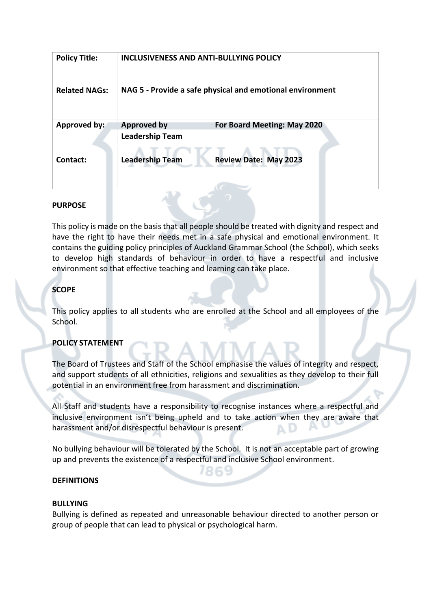| <b>Policy Title:</b> | <b>INCLUSIVENESS AND ANTI-BULLYING POLICY</b>             |                              |
|----------------------|-----------------------------------------------------------|------------------------------|
| <b>Related NAGs:</b> | NAG 5 - Provide a safe physical and emotional environment |                              |
| Approved by:         | <b>Approved by</b>                                        | For Board Meeting: May 2020  |
|                      | <b>Leadership Team</b>                                    |                              |
| Contact:             | <b>Leadership Team</b>                                    | <b>Review Date: May 2023</b> |
|                      |                                                           |                              |

### **PURPOSE**

This policy is made on the basis that all people should be treated with dignity and respect and have the right to have their needs met in a safe physical and emotional environment. It contains the guiding policy principles of Auckland Grammar School (the School), which seeks to develop high standards of behaviour in order to have a respectful and inclusive environment so that effective teaching and learning can take place.

# **SCOPE**

This policy applies to all students who are enrolled at the School and all employees of the School.

# **POLICY STATEMENT**

The Board of Trustees and Staff of the School emphasise the values of integrity and respect, and support students of all ethnicities, religions and sexualities as they develop to their full potential in an environment free from harassment and discrimination.

All Staff and students have a responsibility to recognise instances where a respectful and inclusive environment isn't being upheld and to take action when they are aware that harassment and/or disrespectful behaviour is present. A D

No bullying behaviour will be tolerated by the School. It is not an acceptable part of growing up and prevents the existence of a respectful and inclusive School environment.

### **DEFINITIONS**

### **BULLYING**

Bullying is defined as repeated and unreasonable behaviour directed to another person or group of people that can lead to physical or psychological harm.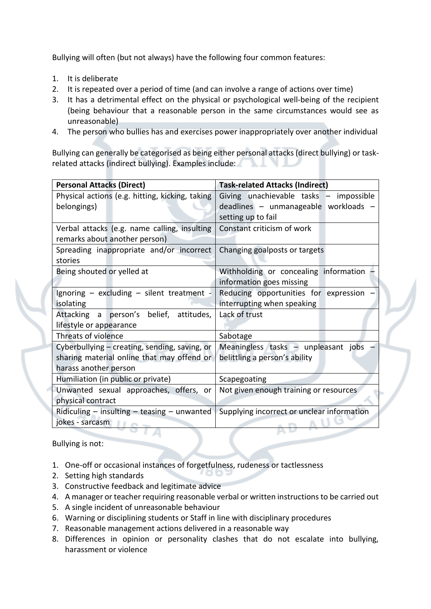Bullying will often (but not always) have the following four common features:

- 1. It is deliberate
- 2. It is repeated over a period of time (and can involve a range of actions over time)
- 3. It has a detrimental effect on the physical or psychological well-being of the recipient (being behaviour that a reasonable person in the same circumstances would see as unreasonable)
- 4. The person who bullies has and exercises power inappropriately over another individual

Bullying can generally be categorised as being either personal attacks (direct bullying) or taskrelated attacks (indirect bullying). Examples include:

| <b>Personal Attacks (Direct)</b>                  | <b>Task-related Attacks (Indirect)</b>     |
|---------------------------------------------------|--------------------------------------------|
| Physical actions (e.g. hitting, kicking, taking   | Giving unachievable tasks - impossible     |
| belongings)                                       | deadlines – unmanageable workloads –       |
|                                                   | setting up to fail                         |
| Verbal attacks (e.g. name calling, insulting      | Constant criticism of work                 |
| remarks about another person)                     |                                            |
| Spreading inappropriate and/or incorrect          | Changing goalposts or targets              |
| stories                                           |                                            |
| Being shouted or yelled at                        | Withholding or concealing information      |
|                                                   | information goes missing                   |
| Ignoring - excluding - silent treatment -         | Reducing opportunities for expression      |
| isolating                                         | interrupting when speaking                 |
| Attacking a person's belief, attitudes,           | Lack of trust                              |
| lifestyle or appearance                           |                                            |
| Threats of violence                               | Sabotage                                   |
| Cyberbullying - creating, sending, saving, or     | Meaningless tasks - unpleasant jobs        |
| sharing material online that may offend or        | belittling a person's ability              |
| harass another person                             |                                            |
| Humiliation (in public or private)                | Scapegoating                               |
| Unwanted sexual approaches, offers, or            | Not given enough training or resources     |
| physical contract                                 |                                            |
| Ridiculing $-$ insulting $-$ teasing $-$ unwanted | Supplying incorrect or unclear information |
| jokes - sarcasm                                   |                                            |

Bullying is not:

- 1. One-off or occasional instances of forgetfulness, rudeness or tactlessness
- 2. Setting high standards
- 3. Constructive feedback and legitimate advice
- 4. A manager or teacher requiring reasonable verbal or written instructions to be carried out
- 5. A single incident of unreasonable behaviour
- 6. Warning or disciplining students or Staff in line with disciplinary procedures
- 7. Reasonable management actions delivered in a reasonable way
- 8. Differences in opinion or personality clashes that do not escalate into bullying, harassment or violence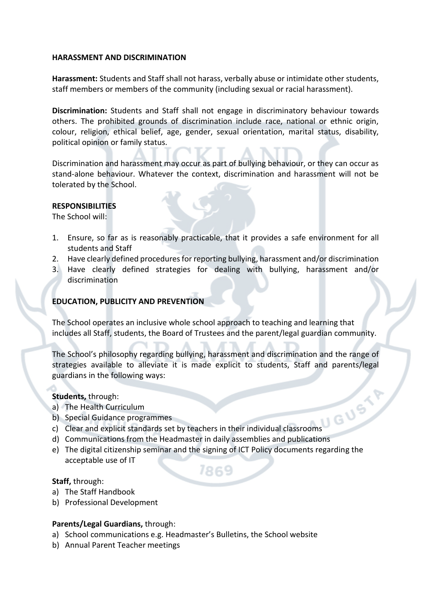### **HARASSMENT AND DISCRIMINATION**

**Harassment:** Students and Staff shall not harass, verbally abuse or intimidate other students, staff members or members of the community (including sexual or racial harassment).

**Discrimination:** Students and Staff shall not engage in discriminatory behaviour towards others. The prohibited grounds of discrimination include race, national or ethnic origin, colour, religion, ethical belief, age, gender, sexual orientation, marital status, disability, political opinion or family status.

Discrimination and harassment may occur as part of bullying behaviour, or they can occur as stand-alone behaviour. Whatever the context, discrimination and harassment will not be tolerated by the School.

### **RESPONSIBILITIES**

The School will:

- 1. Ensure, so far as is reasonably practicable, that it provides a safe environment for all students and Staff
- 2. Have clearly defined procedures for reporting bullying, harassment and/or discrimination
- 3. Have clearly defined strategies for dealing with bullying, harassment and/or discrimination

### **EDUCATION, PUBLICITY AND PREVENTION**

The School operates an inclusive whole school approach to teaching and learning that includes all Staff, students, the Board of Trustees and the parent/legal guardian community.

The School's philosophy regarding bullying, harassment and discrimination and the range of strategies available to alleviate it is made explicit to students, Staff and parents/legal guardians in the following ways:

### **Students,** through:

- a) The Health Curriculum
- b) Special Guidance programmes
- c) Clear and explicit standards set by teachers in their individual classrooms
- d) Communications from the Headmaster in daily assemblies and publications
- e) The digital citizenship seminar and the signing of ICT Policy documents regarding the acceptable use of IT

1869

#### **Staff,** through:

- a) The Staff Handbook
- b) Professional Development

### **Parents/Legal Guardians,** through:

- a) School communications e.g. Headmaster's Bulletins, the School website
- b) Annual Parent Teacher meetings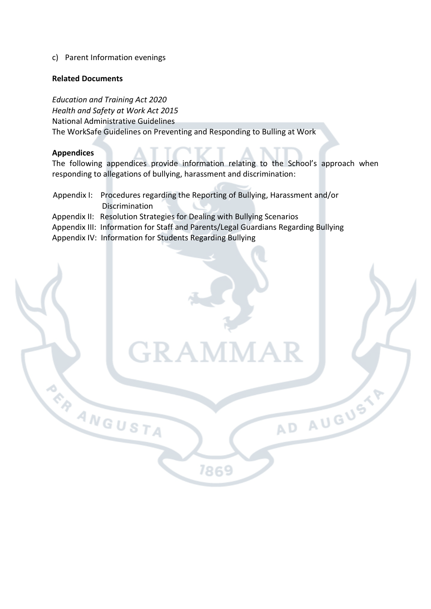c) Parent Information evenings

**ER ANGUSTA** 

### **Related Documents**

*Education and Training Act 2020 Health and Safety at Work Act 2015* National Administrative Guidelines The WorkSafe Guidelines on Preventing and Responding to Bulling at Work

### **Appendices**

The following appendices provide information relating to the School's approach when responding to allegations of bullying, harassment and discrimination:

7869

AD AUGUSTY

Appendix I: Procedures regarding the Reporting of Bullying, Harassment and/or Discrimination Appendix II: Resolution Strategies for Dealing with Bullying Scenarios Appendix III: Information for Staff and Parents/Legal Guardians Regarding Bullying Appendix IV: Information for Students Regarding Bullying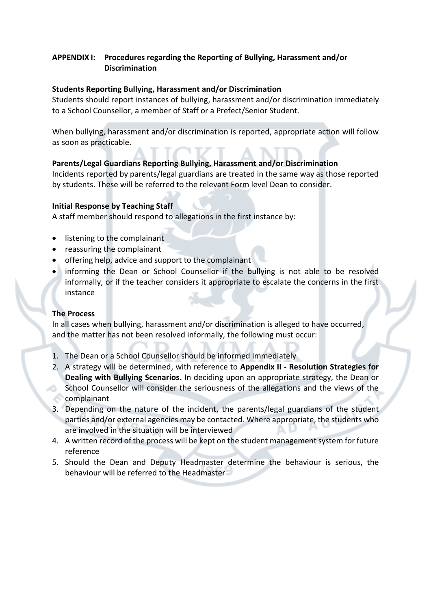# **APPENDIX I: Procedures regarding the Reporting of Bullying, Harassment and/or Discrimination**

# **Students Reporting Bullying, Harassment and/or Discrimination**

Students should report instances of bullying, harassment and/or discrimination immediately to a School Counsellor, a member of Staff or a Prefect/Senior Student.

When bullying, harassment and/or discrimination is reported, appropriate action will follow as soon as practicable.

# **Parents/Legal Guardians Reporting Bullying, Harassment and/or Discrimination**

Incidents reported by parents/legal guardians are treated in the same way as those reported by students. These will be referred to the relevant Form level Dean to consider.

# **Initial Response by Teaching Staff**

A staff member should respond to allegations in the first instance by:

- listening to the complainant
- reassuring the complainant
- offering help, advice and support to the complainant
- informing the Dean or School Counsellor if the bullying is not able to be resolved informally, or if the teacher considers it appropriate to escalate the concerns in the first instance

### **The Process**

In all cases when bullying, harassment and/or discrimination is alleged to have occurred, and the matter has not been resolved informally, the following must occur:

- 1. The Dean or a School Counsellor should be informed immediately
- 2. A strategy will be determined, with reference to **Appendix II - Resolution Strategies for Dealing with Bullying Scenarios.** In deciding upon an appropriate strategy, the Dean or School Counsellor will consider the seriousness of the allegations and the views of the complainant
- 3. Depending on the nature of the incident, the parents/legal guardians of the student parties and/or external agencies may be contacted. Where appropriate, the students who are involved in the situation will be interviewed
- 4. A written record of the process will be kept on the student management system for future reference
- 5. Should the Dean and Deputy Headmaster determine the behaviour is serious, the behaviour will be referred to the Headmaster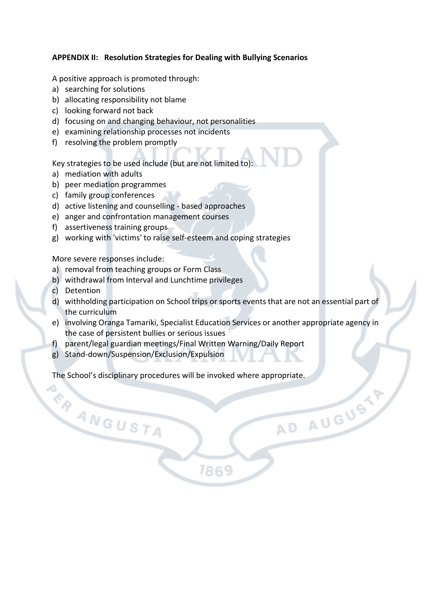# **APPENDIX II: Resolution Strategies for Dealing with Bullying Scenarios**

A positive approach is promoted through:

- a) searching for solutions
- b) allocating responsibility not blame
- c) looking forward not back
- d) focusing on and changing behaviour, not personalities
- e) examining relationship processes not incidents
- f) resolving the problem promptly

Key strategies to be used include (but are not limited to):

- a) mediation with adults
- b) peer mediation programmes
- c) family group conferences
- d) active listening and counselling based approaches
- e) anger and confrontation management courses
- f) assertiveness training groups
- g) working with 'victims' to raise self-esteem and coping strategies

More severe responses include:

ER ANGUSTA

- a) removal from teaching groups or Form Class
- b) withdrawal from Interval and Lunchtime privileges
- c) Detention
- d) withholding participation on School trips or sports events that are not an essential part of the curriculum
- e) involving Oranga Tamariki, Specialist Education Services or another appropriate agency in the case of persistent bullies or serious issues

7869

AD AUGUSTY

- f) parent/legal guardian meetings/Final Written Warning/Daily Report
- g) Stand-down/Suspension/Exclusion/Expulsion

The School's disciplinary procedures will be invoked where appropriate.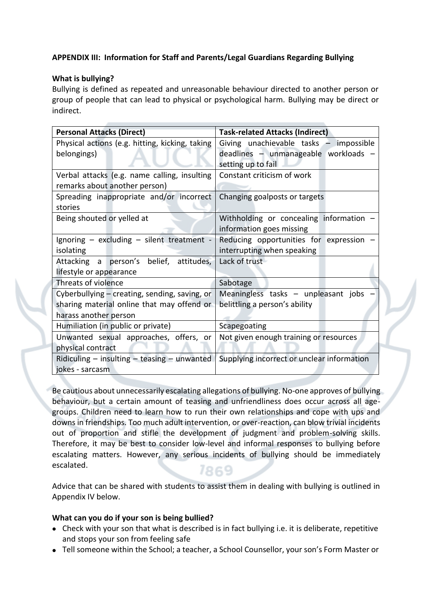# **APPENDIX III: Information for Staff and Parents/Legal Guardians Regarding Bullying**

### **What is bullying?**

Bullying is defined as repeated and unreasonable behaviour directed to another person or group of people that can lead to physical or psychological harm. Bullying may be direct or indirect.

| <b>Personal Attacks (Direct)</b>                  | <b>Task-related Attacks (Indirect)</b>     |  |
|---------------------------------------------------|--------------------------------------------|--|
| Physical actions (e.g. hitting, kicking, taking   | Giving unachievable tasks - impossible     |  |
| belongings)                                       | deadlines - unmanageable workloads -       |  |
|                                                   | setting up to fail                         |  |
| Verbal attacks (e.g. name calling, insulting      | Constant criticism of work                 |  |
| remarks about another person)                     |                                            |  |
| Spreading inappropriate and/or incorrect          | Changing goalposts or targets              |  |
| stories                                           |                                            |  |
| Being shouted or yelled at                        | Withholding or concealing information -    |  |
|                                                   | information goes missing                   |  |
| Ignoring - excluding - silent treatment -         | Reducing opportunities for expression -    |  |
| isolating                                         | interrupting when speaking                 |  |
| Attacking a person's belief, attitudes,           | Lack of trust                              |  |
| lifestyle or appearance                           |                                            |  |
| Threats of violence                               | Sabotage                                   |  |
| Cyberbullying – creating, sending, saving, or     | Meaningless tasks - unpleasant jobs -      |  |
| sharing material online that may offend or        | belittling a person's ability              |  |
| harass another person                             |                                            |  |
| Humiliation (in public or private)                | Scapegoating                               |  |
| Unwanted sexual approaches, offers, or            | Not given enough training or resources     |  |
| physical contract                                 |                                            |  |
| Ridiculing $-$ insulting $-$ teasing $-$ unwanted | Supplying incorrect or unclear information |  |
| jokes - sarcasm                                   |                                            |  |
|                                                   |                                            |  |

Be cautious about unnecessarily escalating allegations of bullying. No-one approves of bullying behaviour, but a certain amount of teasing and unfriendliness does occur across all agegroups. Children need to learn how to run their own relationships and cope with ups and downs in friendships. Too much adult intervention, or over-reaction, can blow trivial incidents out of proportion and stifle the development of judgment and problem-solving skills. Therefore, it may be best to consider low-level and informal responses to bullying before escalating matters. However, any serious incidents of bullying should be immediately escalated. 1869

Advice that can be shared with students to assist them in dealing with bullying is outlined in Appendix IV below.

### **What can you do if your son is being bullied?**

- Check with your son that what is described is in fact bullying i.e. it is deliberate, repetitive and stops your son from feeling safe
- Tell someone within the School; a teacher, a School Counsellor, your son's Form Master or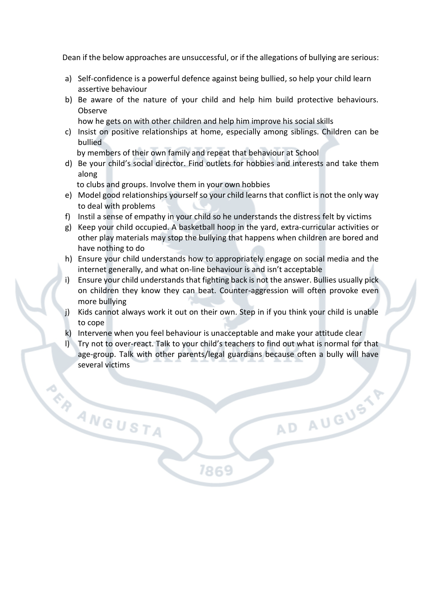Dean if the below approaches are unsuccessful, or if the allegations of bullying are serious:

- a) Self-confidence is a powerful defence against being bullied, so help your child learn assertive behaviour
- b) Be aware of the nature of your child and help him build protective behaviours. Observe
	- how he gets on with other children and help him improve his social skills
- c) Insist on positive relationships at home, especially among siblings. Children can be bullied

by members of their own family and repeat that behaviour at School

d) Be your child's social director. Find outlets for hobbies and interests and take them along

to clubs and groups. Involve them in your own hobbies

**RANGUSTA** 

- e) Model good relationships yourself so your child learns that conflict is not the only way to deal with problems
- f) Instil a sense of empathy in your child so he understands the distress felt by victims
- g) Keep your child occupied. A basketball hoop in the yard, extra-curricular activities or other play materials may stop the bullying that happens when children are bored and have nothing to do
- h) Ensure your child understands how to appropriately engage on social media and the internet generally, and what on-line behaviour is and isn't acceptable
- i) Ensure your child understands that fighting back is not the answer. Bullies usually pick on children they know they can beat. Counter-aggression will often provoke even more bullying
- j) Kids cannot always work it out on their own. Step in if you think your child is unable to cope
- k) Intervene when you feel behaviour is unacceptable and make your attitude clear

7869

l) Try not to over-react. Talk to your child's teachers to find out what is normal for that age-group. Talk with other parents/legal guardians because often a bully will have several victims

AD AUGUSTY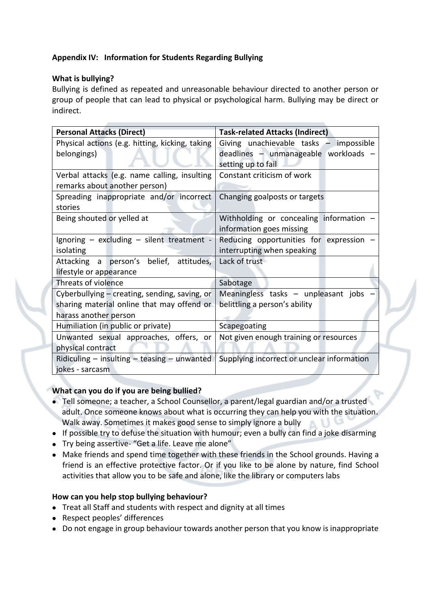# **Appendix IV: Information for Students Regarding Bullying**

# **What is bullying?**

Bullying is defined as repeated and unreasonable behaviour directed to another person or group of people that can lead to physical or psychological harm. Bullying may be direct or indirect.

| Physical actions (e.g. hitting, kicking, taking<br>Giving unachievable tasks - impossible<br>deadlines - unmanageable workloads -<br>belongings)<br>setting up to fail<br>Verbal attacks (e.g. name calling, insulting<br>Constant criticism of work<br>remarks about another person)<br>Spreading inappropriate and/or incorrect<br>Changing goalposts or targets<br>stories<br>Being shouted or yelled at<br>Withholding or concealing information -<br>information goes missing<br>Ignoring – excluding – silent treatment - Reducing opportunities for expression –<br>interrupting when speaking<br>isolating<br>Attacking a person's belief, attitudes,<br>Lack of trust<br>lifestyle or appearance<br>Threats of violence<br>Sabotage<br>Cyberbullying - creating, sending, saving, or<br>Meaningless tasks - unpleasant jobs<br>belittling a person's ability<br>sharing material online that may offend or<br>harass another person<br>Humiliation (in public or private)<br>Scapegoating<br>Unwanted sexual approaches, offers, or<br>Not given enough training or resources<br>physical contract | <b>Personal Attacks (Direct)</b>                  | <b>Task-related Attacks (Indirect)</b>     |
|-------------------------------------------------------------------------------------------------------------------------------------------------------------------------------------------------------------------------------------------------------------------------------------------------------------------------------------------------------------------------------------------------------------------------------------------------------------------------------------------------------------------------------------------------------------------------------------------------------------------------------------------------------------------------------------------------------------------------------------------------------------------------------------------------------------------------------------------------------------------------------------------------------------------------------------------------------------------------------------------------------------------------------------------------------------------------------------------------------------|---------------------------------------------------|--------------------------------------------|
|                                                                                                                                                                                                                                                                                                                                                                                                                                                                                                                                                                                                                                                                                                                                                                                                                                                                                                                                                                                                                                                                                                             |                                                   |                                            |
|                                                                                                                                                                                                                                                                                                                                                                                                                                                                                                                                                                                                                                                                                                                                                                                                                                                                                                                                                                                                                                                                                                             |                                                   |                                            |
|                                                                                                                                                                                                                                                                                                                                                                                                                                                                                                                                                                                                                                                                                                                                                                                                                                                                                                                                                                                                                                                                                                             |                                                   |                                            |
|                                                                                                                                                                                                                                                                                                                                                                                                                                                                                                                                                                                                                                                                                                                                                                                                                                                                                                                                                                                                                                                                                                             |                                                   |                                            |
|                                                                                                                                                                                                                                                                                                                                                                                                                                                                                                                                                                                                                                                                                                                                                                                                                                                                                                                                                                                                                                                                                                             |                                                   |                                            |
|                                                                                                                                                                                                                                                                                                                                                                                                                                                                                                                                                                                                                                                                                                                                                                                                                                                                                                                                                                                                                                                                                                             |                                                   |                                            |
|                                                                                                                                                                                                                                                                                                                                                                                                                                                                                                                                                                                                                                                                                                                                                                                                                                                                                                                                                                                                                                                                                                             |                                                   |                                            |
|                                                                                                                                                                                                                                                                                                                                                                                                                                                                                                                                                                                                                                                                                                                                                                                                                                                                                                                                                                                                                                                                                                             |                                                   |                                            |
|                                                                                                                                                                                                                                                                                                                                                                                                                                                                                                                                                                                                                                                                                                                                                                                                                                                                                                                                                                                                                                                                                                             |                                                   |                                            |
|                                                                                                                                                                                                                                                                                                                                                                                                                                                                                                                                                                                                                                                                                                                                                                                                                                                                                                                                                                                                                                                                                                             |                                                   |                                            |
|                                                                                                                                                                                                                                                                                                                                                                                                                                                                                                                                                                                                                                                                                                                                                                                                                                                                                                                                                                                                                                                                                                             |                                                   |                                            |
|                                                                                                                                                                                                                                                                                                                                                                                                                                                                                                                                                                                                                                                                                                                                                                                                                                                                                                                                                                                                                                                                                                             |                                                   |                                            |
|                                                                                                                                                                                                                                                                                                                                                                                                                                                                                                                                                                                                                                                                                                                                                                                                                                                                                                                                                                                                                                                                                                             |                                                   |                                            |
|                                                                                                                                                                                                                                                                                                                                                                                                                                                                                                                                                                                                                                                                                                                                                                                                                                                                                                                                                                                                                                                                                                             |                                                   |                                            |
|                                                                                                                                                                                                                                                                                                                                                                                                                                                                                                                                                                                                                                                                                                                                                                                                                                                                                                                                                                                                                                                                                                             |                                                   |                                            |
|                                                                                                                                                                                                                                                                                                                                                                                                                                                                                                                                                                                                                                                                                                                                                                                                                                                                                                                                                                                                                                                                                                             |                                                   |                                            |
|                                                                                                                                                                                                                                                                                                                                                                                                                                                                                                                                                                                                                                                                                                                                                                                                                                                                                                                                                                                                                                                                                                             |                                                   |                                            |
|                                                                                                                                                                                                                                                                                                                                                                                                                                                                                                                                                                                                                                                                                                                                                                                                                                                                                                                                                                                                                                                                                                             |                                                   |                                            |
|                                                                                                                                                                                                                                                                                                                                                                                                                                                                                                                                                                                                                                                                                                                                                                                                                                                                                                                                                                                                                                                                                                             |                                                   |                                            |
|                                                                                                                                                                                                                                                                                                                                                                                                                                                                                                                                                                                                                                                                                                                                                                                                                                                                                                                                                                                                                                                                                                             |                                                   |                                            |
|                                                                                                                                                                                                                                                                                                                                                                                                                                                                                                                                                                                                                                                                                                                                                                                                                                                                                                                                                                                                                                                                                                             | Ridiculing $-$ insulting $-$ teasing $-$ unwanted | Supplying incorrect or unclear information |
| jokes - sarcasm                                                                                                                                                                                                                                                                                                                                                                                                                                                                                                                                                                                                                                                                                                                                                                                                                                                                                                                                                                                                                                                                                             |                                                   |                                            |

# **What can you do if you are being bullied?**

- Tell someone; a teacher, a School Counsellor, a parent/legal guardian and/or a trusted adult. Once someone knows about what is occurring they can help you with the situation. Walk away. Sometimes it makes good sense to simply ignore a bully
- If possible try to defuse the situation with humour; even a bully can find a joke disarming
- Try being assertive- "Get a life. Leave me alone"
- Make friends and spend time together with these friends in the School grounds. Having a friend is an effective protective factor. Or if you like to be alone by nature, find School activities that allow you to be safe and alone, like the library or computers labs

# **How can you help stop bullying behaviour?**

- Treat all Staff and students with respect and dignity at all times
- Respect peoples' differences
- Do not engage in group behaviour towards another person that you know is inappropriate